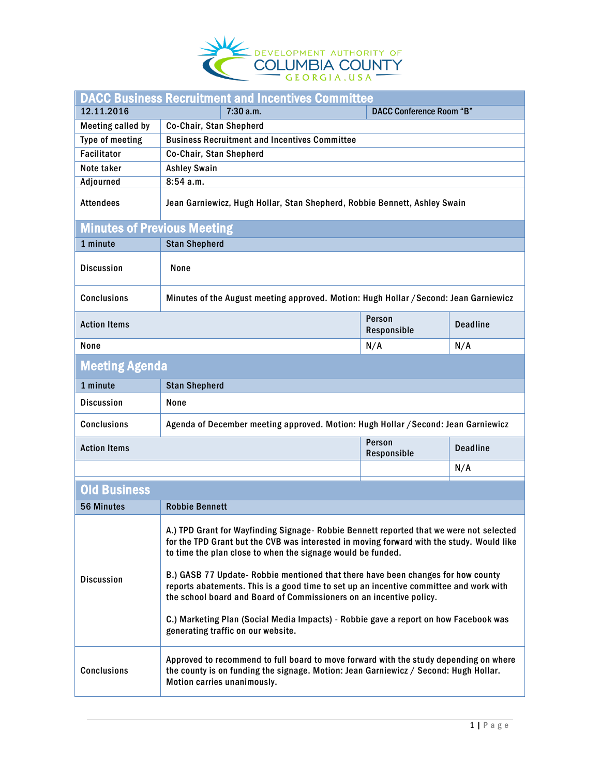

| <b>DACC Business Recruitment and Incentives Committee</b> |                                                                                                                                                                                                                                                                                                                                                                                                                                                                                                                                                                                                                                        |                       |                 |  |  |
|-----------------------------------------------------------|----------------------------------------------------------------------------------------------------------------------------------------------------------------------------------------------------------------------------------------------------------------------------------------------------------------------------------------------------------------------------------------------------------------------------------------------------------------------------------------------------------------------------------------------------------------------------------------------------------------------------------------|-----------------------|-----------------|--|--|
| 12.11.2016                                                | 7:30a.m.<br><b>DACC Conference Room "B"</b>                                                                                                                                                                                                                                                                                                                                                                                                                                                                                                                                                                                            |                       |                 |  |  |
| <b>Meeting called by</b>                                  | Co-Chair, Stan Shepherd                                                                                                                                                                                                                                                                                                                                                                                                                                                                                                                                                                                                                |                       |                 |  |  |
| Type of meeting                                           | <b>Business Recruitment and Incentives Committee</b>                                                                                                                                                                                                                                                                                                                                                                                                                                                                                                                                                                                   |                       |                 |  |  |
| <b>Facilitator</b>                                        | Co-Chair, Stan Shepherd                                                                                                                                                                                                                                                                                                                                                                                                                                                                                                                                                                                                                |                       |                 |  |  |
| Note taker                                                | <b>Ashley Swain</b>                                                                                                                                                                                                                                                                                                                                                                                                                                                                                                                                                                                                                    |                       |                 |  |  |
| Adjourned                                                 | 8:54 a.m.                                                                                                                                                                                                                                                                                                                                                                                                                                                                                                                                                                                                                              |                       |                 |  |  |
| <b>Attendees</b>                                          | Jean Garniewicz, Hugh Hollar, Stan Shepherd, Robbie Bennett, Ashley Swain                                                                                                                                                                                                                                                                                                                                                                                                                                                                                                                                                              |                       |                 |  |  |
| <b>Minutes of Previous Meeting</b>                        |                                                                                                                                                                                                                                                                                                                                                                                                                                                                                                                                                                                                                                        |                       |                 |  |  |
| 1 minute                                                  | <b>Stan Shepherd</b>                                                                                                                                                                                                                                                                                                                                                                                                                                                                                                                                                                                                                   |                       |                 |  |  |
| <b>Discussion</b>                                         | None                                                                                                                                                                                                                                                                                                                                                                                                                                                                                                                                                                                                                                   |                       |                 |  |  |
| <b>Conclusions</b>                                        | Minutes of the August meeting approved. Motion: Hugh Hollar / Second: Jean Garniewicz                                                                                                                                                                                                                                                                                                                                                                                                                                                                                                                                                  |                       |                 |  |  |
| <b>Action Items</b>                                       |                                                                                                                                                                                                                                                                                                                                                                                                                                                                                                                                                                                                                                        | Person<br>Responsible | <b>Deadline</b> |  |  |
| None                                                      |                                                                                                                                                                                                                                                                                                                                                                                                                                                                                                                                                                                                                                        | N/A                   | N/A             |  |  |
| <b>Meeting Agenda</b>                                     |                                                                                                                                                                                                                                                                                                                                                                                                                                                                                                                                                                                                                                        |                       |                 |  |  |
| 1 minute                                                  | <b>Stan Shepherd</b>                                                                                                                                                                                                                                                                                                                                                                                                                                                                                                                                                                                                                   |                       |                 |  |  |
| <b>Discussion</b>                                         | None                                                                                                                                                                                                                                                                                                                                                                                                                                                                                                                                                                                                                                   |                       |                 |  |  |
| <b>Conclusions</b>                                        | Agenda of December meeting approved. Motion: Hugh Hollar / Second: Jean Garniewicz                                                                                                                                                                                                                                                                                                                                                                                                                                                                                                                                                     |                       |                 |  |  |
| <b>Action Items</b>                                       |                                                                                                                                                                                                                                                                                                                                                                                                                                                                                                                                                                                                                                        | Person<br>Responsible | <b>Deadline</b> |  |  |
|                                                           |                                                                                                                                                                                                                                                                                                                                                                                                                                                                                                                                                                                                                                        |                       | N/A             |  |  |
| <b>Old Business</b>                                       |                                                                                                                                                                                                                                                                                                                                                                                                                                                                                                                                                                                                                                        |                       |                 |  |  |
| <b>56 Minutes</b>                                         | <b>Robbie Bennett</b>                                                                                                                                                                                                                                                                                                                                                                                                                                                                                                                                                                                                                  |                       |                 |  |  |
| <b>Discussion</b>                                         | A.) TPD Grant for Wayfinding Signage- Robbie Bennett reported that we were not selected<br>for the TPD Grant but the CVB was interested in moving forward with the study. Would like<br>to time the plan close to when the signage would be funded.<br>B.) GASB 77 Update- Robbie mentioned that there have been changes for how county<br>reports abatements. This is a good time to set up an incentive committee and work with<br>the school board and Board of Commissioners on an incentive policy.<br>C.) Marketing Plan (Social Media Impacts) - Robbie gave a report on how Facebook was<br>generating traffic on our website. |                       |                 |  |  |
| <b>Conclusions</b>                                        | Approved to recommend to full board to move forward with the study depending on where<br>the county is on funding the signage. Motion: Jean Garniewicz / Second: Hugh Hollar.<br>Motion carries unanimously.                                                                                                                                                                                                                                                                                                                                                                                                                           |                       |                 |  |  |